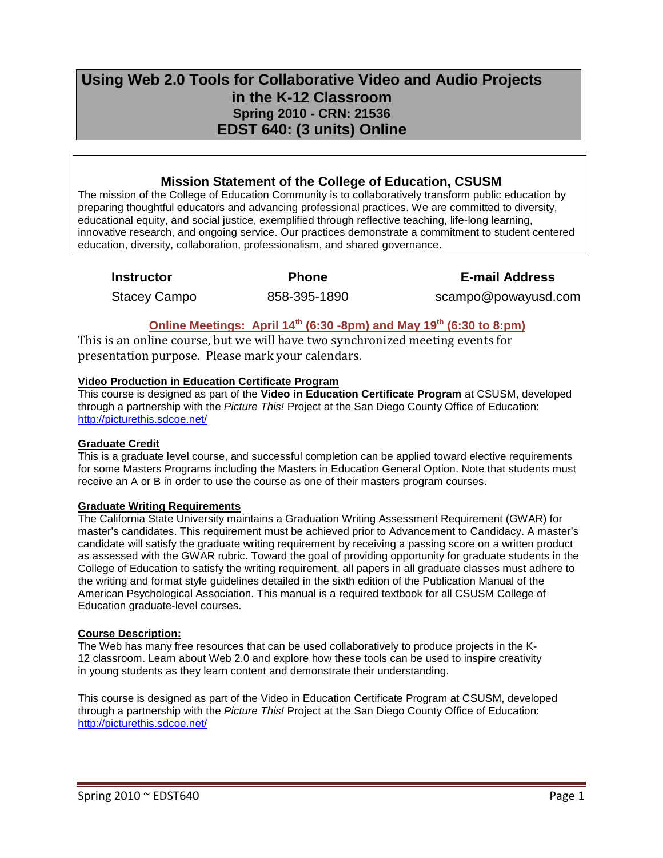# **Using Web 2.0 Tools for Collaborative Video and Audio Projects in the K-12 Classroom Spring 2010 - CRN: 21536 EDST 640: (3 units) Online**

# **Mission Statement of the College of Education, CSUSM**

The mission of the College of Education Community is to collaboratively transform public education by preparing thoughtful educators and advancing professional practices. We are committed to diversity, educational equity, and social justice, exemplified through reflective teaching, life-long learning, innovative research, and ongoing service. Our practices demonstrate a commitment to student centered education, diversity, collaboration, professionalism, and shared governance.

**Instructor Phone E-mail Address**

Stacey Campo 858-395-1890 scampo@powayusd.com

# **Online Meetings: April 14<sup>th</sup> (6:30 -8pm) and May 19<sup>th</sup> (6:30 to 8:pm)**

This is an online course, but we will have two synchronized meeting events for presentation purpose. Please mark your calendars.

# **Video Production in Education Certificate Program**

This course is designed as part of the **Video in Education Certificate Program** at CSUSM, developed through a partnership with the *Picture This!* Project at the San Diego County Office of Education: <http://picturethis.sdcoe.net/>

## **Graduate Credit**

This is a graduate level course, and successful completion can be applied toward elective requirements for some Masters Programs including the Masters in Education General Option. Note that students must receive an A or B in order to use the course as one of their masters program courses.

# **Graduate Writing Requirements**

The California State University maintains a Graduation Writing Assessment Requirement (GWAR) for master's candidates. This requirement must be achieved prior to Advancement to Candidacy. A master's candidate will satisfy the graduate writing requirement by receiving a passing score on a written product as assessed with the GWAR rubric. Toward the goal of providing opportunity for graduate students in the College of Education to satisfy the writing requirement, all papers in all graduate classes must adhere to the writing and format style guidelines detailed in the sixth edition of the Publication Manual of the American Psychological Association. This manual is a required textbook for all CSUSM College of Education graduate-level courses.

## **Course Description:**

The Web has many free resources that can be used collaboratively to produce projects in the K-12 classroom. Learn about Web 2.0 and explore how these tools can be used to inspire creativity in young students as they learn content and demonstrate their understanding.

This course is designed as part of the Video in Education Certificate Program at CSUSM, developed through a partnership with the *Picture This!* Project at the San Diego County Office of Education: <http://picturethis.sdcoe.net/>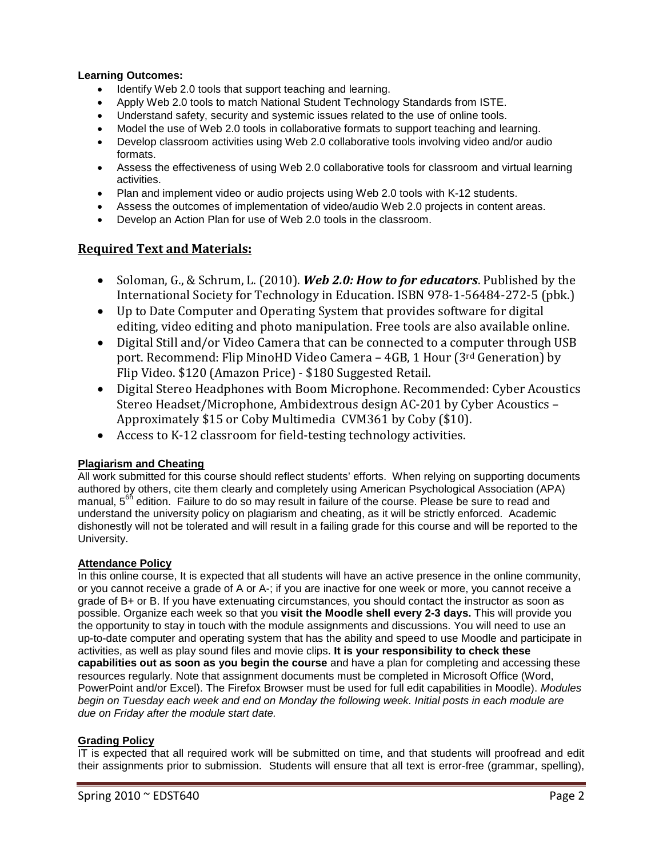### **Learning Outcomes:**

- Identify Web 2.0 tools that support teaching and learning.
- Apply Web 2.0 tools to match National Student Technology Standards from ISTE.
- Understand safety, security and systemic issues related to the use of online tools.
- Model the use of Web 2.0 tools in collaborative formats to support teaching and learning.
- Develop classroom activities using Web 2.0 collaborative tools involving video and/or audio formats.
- Assess the effectiveness of using Web 2.0 collaborative tools for classroom and virtual learning activities.
- Plan and implement video or audio projects using Web 2.0 tools with K-12 students.
- Assess the outcomes of implementation of video/audio Web 2.0 projects in content areas.
- Develop an Action Plan for use of Web 2.0 tools in the classroom.

# **Required Text and Materials:**

- Soloman, G., & Schrum, L. (2010). *Web 2.0: How to for educators*. Published by the International Society for Technology in Education. ISBN 978-1-56484-272-5 (pbk.)
- Up to Date Computer and Operating System that provides software for digital editing, video editing and photo manipulation. Free tools are also available online.
- Digital Still and/or Video Camera that can be connected to a computer through USB port. Recommend: Flip MinoHD Video Camera – 4GB, 1 Hour (3rd Generation) by Flip Video. \$120 (Amazon Price) - \$180 Suggested Retail.
- Digital Stereo Headphones with Boom Microphone. Recommended: Cyber Acoustics Stereo Headset/Microphone, Ambidextrous design AC-201 by Cyber Acoustics – Approximately \$15 or Coby Multimedia CVM361 by Coby (\$10).
- Access to K-12 classroom for field-testing technology activities.

## **Plagiarism and Cheating**

All work submitted for this course should reflect students' efforts. When relying on supporting documents authored by others, cite them clearly and completely using American Psychological Association (APA) manual, 5<sup>6h</sup> edition. Failure to do so may result in failure of the course. Please be sure to read and understand the university policy on plagiarism and cheating, as it will be strictly enforced. Academic dishonestly will not be tolerated and will result in a failing grade for this course and will be reported to the University.

## **Attendance Policy**

In this online course, It is expected that all students will have an active presence in the online community, or you cannot receive a grade of A or A-; if you are inactive for one week or more, you cannot receive a grade of B+ or B. If you have extenuating circumstances, you should contact the instructor as soon as possible. Organize each week so that you **visit the Moodle shell every 2-3 days.** This will provide you the opportunity to stay in touch with the module assignments and discussions. You will need to use an up-to-date computer and operating system that has the ability and speed to use Moodle and participate in activities, as well as play sound files and movie clips. **It is your responsibility to check these capabilities out as soon as you begin the course** and have a plan for completing and accessing these resources regularly. Note that assignment documents must be completed in Microsoft Office (Word, PowerPoint and/or Excel). The Firefox Browser must be used for full edit capabilities in Moodle). *Modules begin on Tuesday each week and end on Monday the following week. Initial posts in each module are due on Friday after the module start date.*

## **Grading Policy**

IT is expected that all required work will be submitted on time, and that students will proofread and edit their assignments prior to submission. Students will ensure that all text is error-free (grammar, spelling),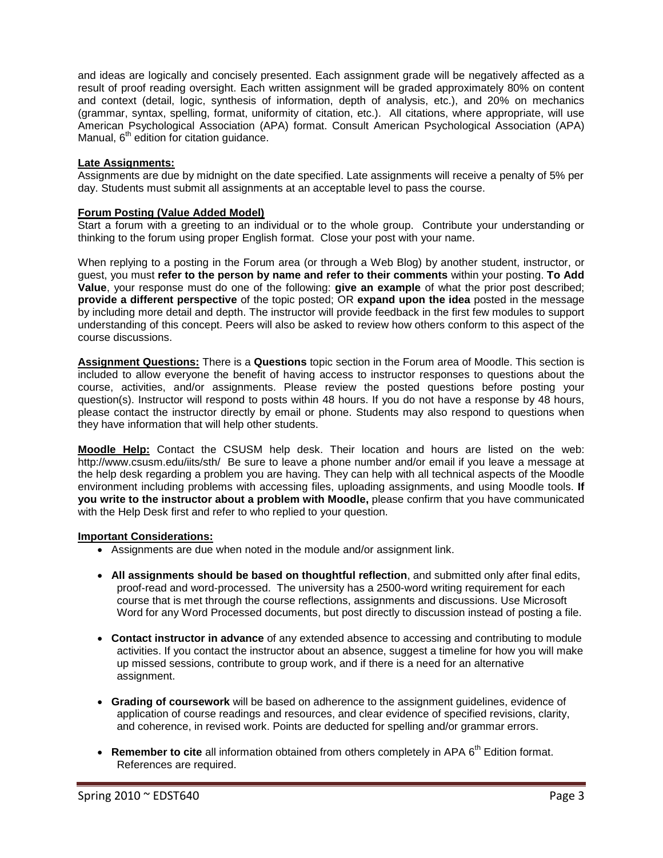and ideas are logically and concisely presented. Each assignment grade will be negatively affected as a result of proof reading oversight. Each written assignment will be graded approximately 80% on content and context (detail, logic, synthesis of information, depth of analysis, etc.), and 20% on mechanics (grammar, syntax, spelling, format, uniformity of citation, etc.). All citations, where appropriate, will use American Psychological Association (APA) format. Consult American Psychological Association (APA) Manual, 6<sup>th</sup> edition for citation guidance.

### **Late Assignments:**

Assignments are due by midnight on the date specified. Late assignments will receive a penalty of 5% per day. Students must submit all assignments at an acceptable level to pass the course.

### **Forum Posting (Value Added Model)**

Start a forum with a greeting to an individual or to the whole group. Contribute your understanding or thinking to the forum using proper English format. Close your post with your name.

When replying to a posting in the Forum area (or through a Web Blog) by another student, instructor, or guest, you must **refer to the person by name and refer to their comments** within your posting. **To Add Value**, your response must do one of the following: **give an example** of what the prior post described; **provide a different perspective** of the topic posted; OR **expand upon the idea** posted in the message by including more detail and depth. The instructor will provide feedback in the first few modules to support understanding of this concept. Peers will also be asked to review how others conform to this aspect of the course discussions.

**Assignment Questions:** There is a **Questions** topic section in the Forum area of Moodle. This section is included to allow everyone the benefit of having access to instructor responses to questions about the course, activities, and/or assignments. Please review the posted questions before posting your question(s). Instructor will respond to posts within 48 hours. If you do not have a response by 48 hours, please contact the instructor directly by email or phone. Students may also respond to questions when they have information that will help other students.

**Moodle Help:** Contact the CSUSM help desk. Their location and hours are listed on the web: <http://www.csusm.edu/iits/sth/>Be sure to leave a phone number and/or email if you leave a message at the help desk regarding a problem you are having. They can help with all technical aspects of the Moodle environment including problems with accessing files, uploading assignments, and using Moodle tools. **If you write to the instructor about a problem with Moodle,** please confirm that you have communicated with the Help Desk first and refer to who replied to your question.

#### **Important Considerations:**

- Assignments are due when noted in the module and/or assignment link.
- **All assignments should be based on thoughtful reflection**, and submitted only after final edits, proof-read and word-processed. The university has a 2500-word writing requirement for each course that is met through the course reflections, assignments and discussions. Use Microsoft Word for any Word Processed documents, but post directly to discussion instead of posting a file.
- **Contact instructor in advance** of any extended absence to accessing and contributing to module activities. If you contact the instructor about an absence, suggest a timeline for how you will make up missed sessions, contribute to group work, and if there is a need for an alternative assignment.
- **Grading of coursework** will be based on adherence to the assignment guidelines, evidence of application of course readings and resources, and clear evidence of specified revisions, clarity, and coherence, in revised work. Points are deducted for spelling and/or grammar errors.
- **Remember to cite** all information obtained from others completely in APA 6<sup>th</sup> Edition format. References are required.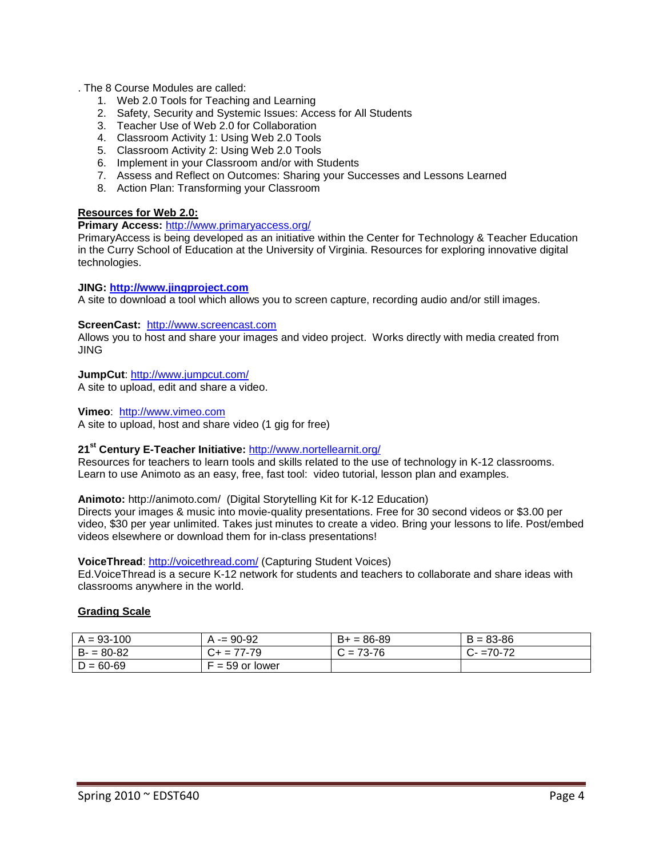. The 8 Course Modules are called:

- 1. Web 2.0 Tools for Teaching and Learning
- 2. Safety, Security and Systemic Issues: Access for All Students
- 3. Teacher Use of Web 2.0 for Collaboration
- 4. Classroom Activity 1: Using Web 2.0 Tools
- 5. Classroom Activity 2: Using Web 2.0 Tools
- 6. Implement in your Classroom and/or with Students
- 7. Assess and Reflect on Outcomes: Sharing your Successes and Lessons Learned
- 8. Action Plan: Transforming your Classroom

#### **Resources for Web 2.0:**

**Primary Access:** <http://www.primaryaccess.org/>

PrimaryAccess is being developed as an initiative within the Center for Technology & Teacher Education in the Curry School of Education at the University of Virginia. Resources for exploring innovative digital technologies.

#### **JING: [http://www.jingproject.com](http://www.jingproject.com/)**

A site to download a tool which allows you to screen capture, recording audio and/or still images.

#### **ScreenCast:** [http://www.screencast.com](http://www.screencast.com/)

Allows you to host and share your images and video project. Works directly with media created from JING

**JumpCut**:<http://www.jumpcut.com/> A site to upload, edit and share a video.

**Vimeo**: [http://www.vimeo.com](http://www.vimeo.com/) A site to upload, host and share video (1 gig for free)

#### **21st Century E-Teacher Initiative:** <http://www.nortellearnit.org/>

Resources for teachers to learn tools and skills related to the use of technology in K-12 classrooms. Learn to use Animoto as an easy, free, fast tool: video tutorial, lesson plan and examples.

### **Animoto:** http://animoto.com/ (Digital Storytelling Kit for K-12 Education)

Directs your images & music into movie-quality presentations. Free for 30 second videos or \$3.00 per video, \$30 per year unlimited. Takes just minutes to create a video. Bring your lessons to life. Post/embed videos elsewhere or download them for in-class presentations!

#### **VoiceThread**:<http://voicethread.com/> (Capturing Student Voices)

Ed.VoiceThread is a secure K-12 network for students and teachers to collaborate and share ideas with classrooms anywhere in the world.

#### **Grading Scale**

| $A = 93 - 100$ | $= 90 - 92$                      | $B+ = 86-89$ | $B = 83 - 86$ |
|----------------|----------------------------------|--------------|---------------|
| $B = 80-82$    | 77-79<br>$=$ $\prime$            | $= 73 - 76$  | $=70-72$      |
| $D = 60-69$    | $\overline{\cdot}$ = 59 or lower |              |               |